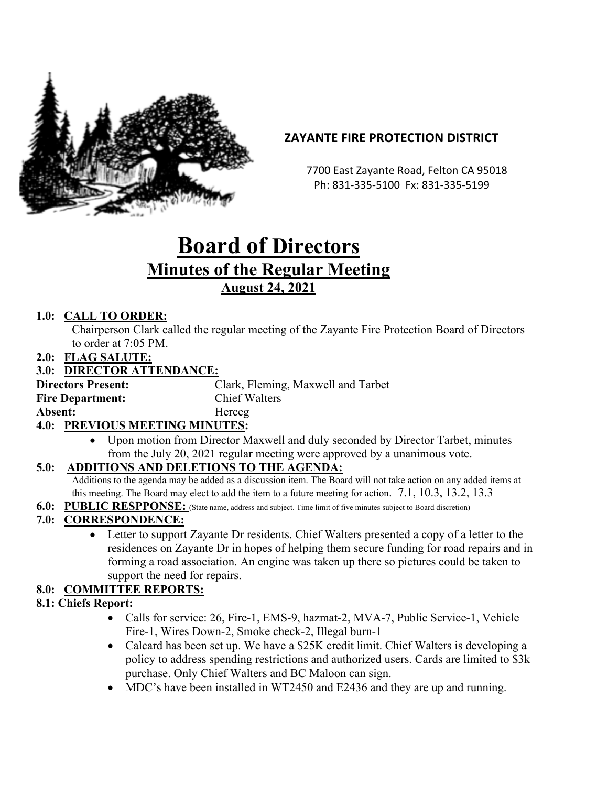

# **ZAYANTE FIRE PROTECTION DISTRICT**

 7700 East Zayante Road, Felton CA 95018 Ph: 831-335-5100 Fx: 831-335-5199

# **Board of Directors Minutes of the Regular Meeting August 24, 2021**

## **1.0: CALL TO ORDER:**

Chairperson Clark called the regular meeting of the Zayante Fire Protection Board of Directors to order at 7:05 PM.

**2.0: FLAG SALUTE:**

### **3.0: DIRECTOR ATTENDANCE:**

**Directors Present:** Clark, Fleming, Maxwell and Tarbet **Fire Department:** Chief Walters Absent: **Herceg** 

### **4.0: PREVIOUS MEETING MINUTES:**

• Upon motion from Director Maxwell and duly seconded by Director Tarbet, minutes from the July 20, 2021 regular meeting were approved by a unanimous vote.

### **5.0: ADDITIONS AND DELETIONS TO THE AGENDA:**

Additions to the agenda may be added as a discussion item. The Board will not take action on any added items at this meeting. The Board may elect to add the item to a future meeting for action. 7.1, 10.3, 13.2, 13.3

**6.0: PUBLIC RESPPONSE:** (State name, address and subject. Time limit of five minutes subject to Board discretion)

### **7.0: CORRESPONDENCE:**

• Letter to support Zayante Dr residents. Chief Walters presented a copy of a letter to the residences on Zayante Dr in hopes of helping them secure funding for road repairs and in forming a road association. An engine was taken up there so pictures could be taken to support the need for repairs.

### **8.0: COMMITTEE REPORTS:**

#### **8.1: Chiefs Report:**

- Calls for service: 26, Fire-1, EMS-9, hazmat-2, MVA-7, Public Service-1, Vehicle Fire-1, Wires Down-2, Smoke check-2, Illegal burn-1
- Calcard has been set up. We have a \$25K credit limit. Chief Walters is developing a policy to address spending restrictions and authorized users. Cards are limited to \$3k purchase. Only Chief Walters and BC Maloon can sign.
- MDC's have been installed in WT2450 and E2436 and they are up and running.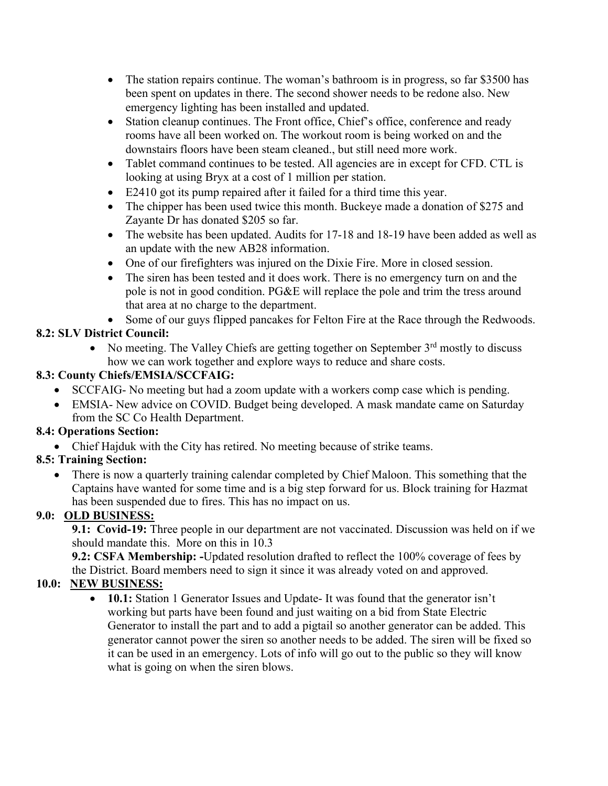- The station repairs continue. The woman's bathroom is in progress, so far \$3500 has been spent on updates in there. The second shower needs to be redone also. New emergency lighting has been installed and updated.
- Station cleanup continues. The Front office, Chief's office, conference and ready rooms have all been worked on. The workout room is being worked on and the downstairs floors have been steam cleaned., but still need more work.
- Tablet command continues to be tested. All agencies are in except for CFD. CTL is looking at using Bryx at a cost of 1 million per station.
- E2410 got its pump repaired after it failed for a third time this year.
- The chipper has been used twice this month. Buckeye made a donation of \$275 and Zayante Dr has donated \$205 so far.
- The website has been updated. Audits for 17-18 and 18-19 have been added as well as an update with the new AB28 information.
- One of our firefighters was injured on the Dixie Fire. More in closed session.
- The siren has been tested and it does work. There is no emergency turn on and the pole is not in good condition. PG&E will replace the pole and trim the tress around that area at no charge to the department.
- Some of our guys flipped pancakes for Felton Fire at the Race through the Redwoods.

# **8.2: SLV District Council:**

• No meeting. The Valley Chiefs are getting together on September  $3<sup>rd</sup>$  mostly to discuss how we can work together and explore ways to reduce and share costs.

# **8.3: County Chiefs/EMSIA/SCCFAIG:**

- SCCFAIG- No meeting but had a zoom update with a workers comp case which is pending.
- EMSIA- New advice on COVID. Budget being developed. A mask mandate came on Saturday from the SC Co Health Department.

# **8.4: Operations Section:**

• Chief Hajduk with the City has retired. No meeting because of strike teams.

# **8.5: Training Section:**

• There is now a quarterly training calendar completed by Chief Maloon. This something that the Captains have wanted for some time and is a big step forward for us. Block training for Hazmat has been suspended due to fires. This has no impact on us.

# **9.0: OLD BUSINESS:**

**9.1: Covid-19:** Three people in our department are not vaccinated. Discussion was held on if we should mandate this. More on this in 10.3

**9.2: CSFA Membership: -**Updated resolution drafted to reflect the 100% coverage of fees by the District. Board members need to sign it since it was already voted on and approved.

# **10.0: NEW BUSINESS:**

• **10.1:** Station 1 Generator Issues and Update- It was found that the generator isn't working but parts have been found and just waiting on a bid from State Electric Generator to install the part and to add a pigtail so another generator can be added. This generator cannot power the siren so another needs to be added. The siren will be fixed so it can be used in an emergency. Lots of info will go out to the public so they will know what is going on when the siren blows.